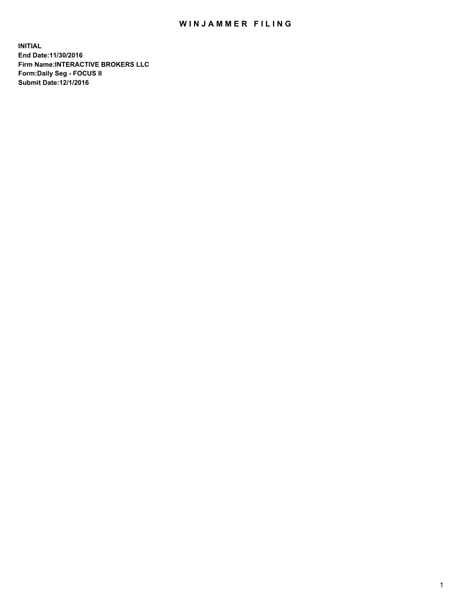## WIN JAMMER FILING

**INITIAL End Date:11/30/2016 Firm Name:INTERACTIVE BROKERS LLC Form:Daily Seg - FOCUS II Submit Date:12/1/2016**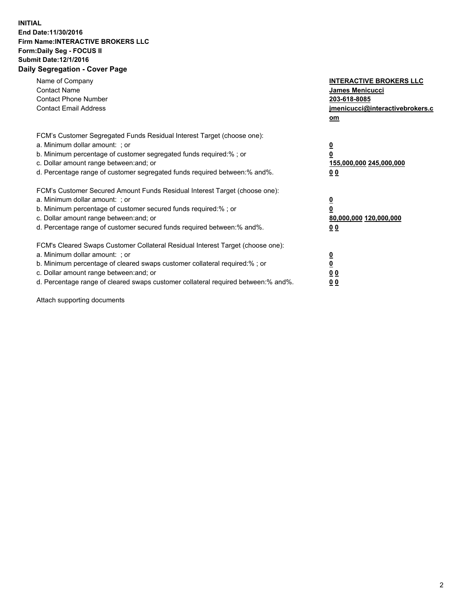## **INITIAL End Date:11/30/2016 Firm Name:INTERACTIVE BROKERS LLC Form:Daily Seg - FOCUS II Submit Date:12/1/2016 Daily Segregation - Cover Page**

| Name of Company<br><b>Contact Name</b><br><b>Contact Phone Number</b><br><b>Contact Email Address</b>                                                                                                                                                                                                                          | <b>INTERACTIVE BROKERS LLC</b><br><b>James Menicucci</b><br>203-618-8085<br>jmenicucci@interactivebrokers.c<br>om |
|--------------------------------------------------------------------------------------------------------------------------------------------------------------------------------------------------------------------------------------------------------------------------------------------------------------------------------|-------------------------------------------------------------------------------------------------------------------|
| FCM's Customer Segregated Funds Residual Interest Target (choose one):<br>a. Minimum dollar amount: ; or<br>b. Minimum percentage of customer segregated funds required:%; or<br>c. Dollar amount range between: and; or<br>d. Percentage range of customer segregated funds required between:% and%.                          | $\overline{\mathbf{0}}$<br>0<br>155,000,000 245,000,000<br>0 <sub>0</sub>                                         |
| FCM's Customer Secured Amount Funds Residual Interest Target (choose one):<br>a. Minimum dollar amount: ; or<br>b. Minimum percentage of customer secured funds required:%; or<br>c. Dollar amount range between: and; or<br>d. Percentage range of customer secured funds required between: % and %.                          | $\overline{\mathbf{0}}$<br>0<br>80,000,000 120,000,000<br>00                                                      |
| FCM's Cleared Swaps Customer Collateral Residual Interest Target (choose one):<br>a. Minimum dollar amount: ; or<br>b. Minimum percentage of cleared swaps customer collateral required:% ; or<br>c. Dollar amount range between: and; or<br>d. Percentage range of cleared swaps customer collateral required between:% and%. | $\overline{\mathbf{0}}$<br>$\overline{\mathbf{0}}$<br>0 <sub>0</sub><br><u>00</u>                                 |

Attach supporting documents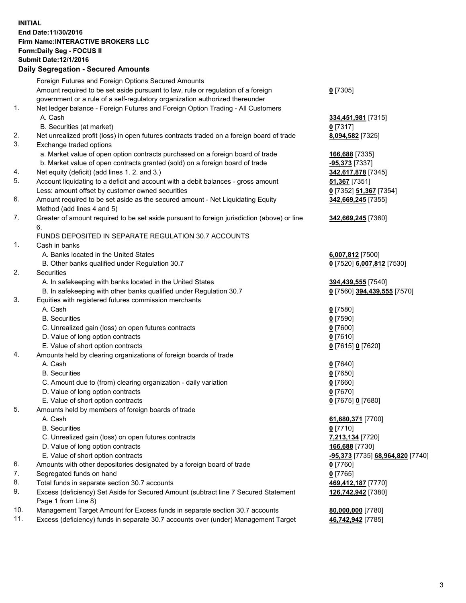## **INITIAL End Date:11/30/2016 Firm Name:INTERACTIVE BROKERS LLC Form:Daily Seg - FOCUS II Submit Date:12/1/2016 Daily Segregation - Secured Amounts**

|     | <u>, any overvealion ovoaroa / 11110ani</u>                                                 |                                  |
|-----|---------------------------------------------------------------------------------------------|----------------------------------|
|     | Foreign Futures and Foreign Options Secured Amounts                                         |                                  |
|     | Amount required to be set aside pursuant to law, rule or regulation of a foreign            | $0$ [7305]                       |
|     | government or a rule of a self-regulatory organization authorized thereunder                |                                  |
| 1.  | Net ledger balance - Foreign Futures and Foreign Option Trading - All Customers             |                                  |
|     | A. Cash                                                                                     | 334,451,981 [7315]               |
|     | B. Securities (at market)                                                                   | $0$ [7317]                       |
| 2.  | Net unrealized profit (loss) in open futures contracts traded on a foreign board of trade   | 8,094,582 [7325]                 |
| 3.  | Exchange traded options                                                                     |                                  |
|     | a. Market value of open option contracts purchased on a foreign board of trade              | 166,688 [7335]                   |
|     | b. Market value of open contracts granted (sold) on a foreign board of trade                | <u>-95,373</u> [7337]            |
| 4.  | Net equity (deficit) (add lines 1. 2. and 3.)                                               | 342,617,878 [7345]               |
| 5.  | Account liquidating to a deficit and account with a debit balances - gross amount           | 51,367 [7351]                    |
|     | Less: amount offset by customer owned securities                                            | 0 [7352] 51,367 [7354]           |
| 6.  | Amount required to be set aside as the secured amount - Net Liquidating Equity              | 342,669,245 [7355]               |
|     | Method (add lines 4 and 5)                                                                  |                                  |
| 7.  | Greater of amount required to be set aside pursuant to foreign jurisdiction (above) or line |                                  |
|     | 6.                                                                                          | 342,669,245 [7360]               |
|     |                                                                                             |                                  |
|     | FUNDS DEPOSITED IN SEPARATE REGULATION 30.7 ACCOUNTS                                        |                                  |
| 1.  | Cash in banks                                                                               |                                  |
|     | A. Banks located in the United States                                                       | 6,007,812 [7500]                 |
|     | B. Other banks qualified under Regulation 30.7                                              | 0 [7520] 6,007,812 [7530]        |
| 2.  | Securities                                                                                  |                                  |
|     | A. In safekeeping with banks located in the United States                                   | 394,439,555 [7540]               |
|     | B. In safekeeping with other banks qualified under Regulation 30.7                          | 0 [7560] 394,439,555 [7570]      |
| 3.  | Equities with registered futures commission merchants                                       |                                  |
|     | A. Cash                                                                                     | $0$ [7580]                       |
|     | <b>B.</b> Securities                                                                        | $0$ [7590]                       |
|     | C. Unrealized gain (loss) on open futures contracts                                         | $0$ [7600]                       |
|     | D. Value of long option contracts                                                           | $0$ [7610]                       |
|     | E. Value of short option contracts                                                          | 0 [7615] 0 [7620]                |
| 4.  | Amounts held by clearing organizations of foreign boards of trade                           |                                  |
|     | A. Cash                                                                                     | $0$ [7640]                       |
|     | <b>B.</b> Securities                                                                        | $0$ [7650]                       |
|     | C. Amount due to (from) clearing organization - daily variation                             | $0$ [7660]                       |
|     | D. Value of long option contracts                                                           | $0$ [7670]                       |
|     | E. Value of short option contracts                                                          | 0 [7675] 0 [7680]                |
| 5.  | Amounts held by members of foreign boards of trade                                          |                                  |
|     | A. Cash                                                                                     | 61,680,371 [7700]                |
|     | <b>B.</b> Securities                                                                        | $0$ [7710]                       |
|     | C. Unrealized gain (loss) on open futures contracts                                         | 7,213,134 [7720]                 |
|     | D. Value of long option contracts                                                           | 166,688 [7730]                   |
|     | E. Value of short option contracts                                                          | -95,373 [7735] 68,964,820 [7740] |
| 6.  | Amounts with other depositories designated by a foreign board of trade                      | $0$ [7760]                       |
| 7.  | Segregated funds on hand                                                                    | $0$ [7765]                       |
| 8.  | Total funds in separate section 30.7 accounts                                               | 469,412,187 [7770]               |
| 9.  | Excess (deficiency) Set Aside for Secured Amount (subtract line 7 Secured Statement         | 126,742,942 [7380]               |
|     | Page 1 from Line 8)                                                                         |                                  |
| 10. | Management Target Amount for Excess funds in separate section 30.7 accounts                 | 80,000,000 [7780]                |
| 11. | Excess (deficiency) funds in separate 30.7 accounts over (under) Management Target          | 46,742,942 [7785]                |
|     |                                                                                             |                                  |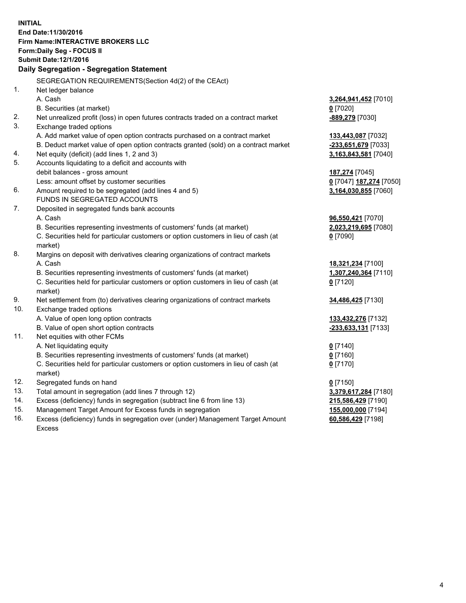**INITIAL End Date:11/30/2016 Firm Name:INTERACTIVE BROKERS LLC Form:Daily Seg - FOCUS II Submit Date:12/1/2016 Daily Segregation - Segregation Statement** SEGREGATION REQUIREMENTS(Section 4d(2) of the CEAct) 1. Net ledger balance A. Cash **3,264,941,452** [7010] B. Securities (at market) **0** [7020] 2. Net unrealized profit (loss) in open futures contracts traded on a contract market **-889,279** [7030] 3. Exchange traded options A. Add market value of open option contracts purchased on a contract market **133,443,087** [7032] B. Deduct market value of open option contracts granted (sold) on a contract market **-233,651,679** [7033] 4. Net equity (deficit) (add lines 1, 2 and 3) **3,163,843,581** [7040] 5. Accounts liquidating to a deficit and accounts with debit balances - gross amount **187,274** [7045] Less: amount offset by customer securities **0** [7047] **187,274** [7050] 6. Amount required to be segregated (add lines 4 and 5) **3,164,030,855** [7060] FUNDS IN SEGREGATED ACCOUNTS 7. Deposited in segregated funds bank accounts A. Cash **96,550,421** [7070] B. Securities representing investments of customers' funds (at market) **2,023,219,695** [7080] C. Securities held for particular customers or option customers in lieu of cash (at market) **0** [7090] 8. Margins on deposit with derivatives clearing organizations of contract markets A. Cash **18,321,234** [7100] B. Securities representing investments of customers' funds (at market) **1,307,240,364** [7110] C. Securities held for particular customers or option customers in lieu of cash (at market) **0** [7120] 9. Net settlement from (to) derivatives clearing organizations of contract markets **34,486,425** [7130] 10. Exchange traded options A. Value of open long option contracts **133,432,276** [7132] B. Value of open short option contracts **-233,633,131** [7133] 11. Net equities with other FCMs A. Net liquidating equity **0** [7140] B. Securities representing investments of customers' funds (at market) **0** [7160] C. Securities held for particular customers or option customers in lieu of cash (at market) **0** [7170] 12. Segregated funds on hand **0** [7150] 13. Total amount in segregation (add lines 7 through 12) **3,379,617,284** [7180] 14. Excess (deficiency) funds in segregation (subtract line 6 from line 13) **215,586,429** [7190] 15. Management Target Amount for Excess funds in segregation **155,000,000** [7194] **60,586,429** [7198]

16. Excess (deficiency) funds in segregation over (under) Management Target Amount Excess